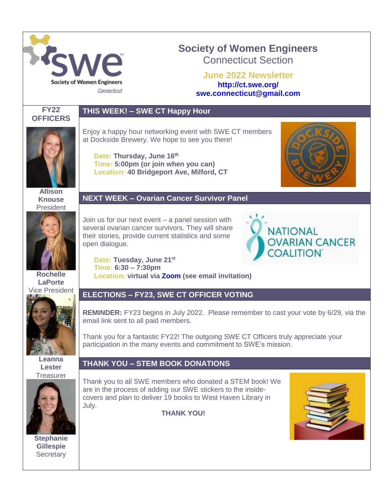

# **Society of Women Engineers** Connecticut Section

**June 2022 Newsletter <http://ct.swe.org/> swe.connecticut@gmail.com**



## **THIS WEEK! – SWE CT Happy Hour**

**Date: Thursday, June 16th** 

at Dockside Brewery. We hope to see you there!

**Time: 5:00pm (or join when you can) Location: 40 Bridgeport Ave, Milford, CT**

**Allison Knouse** President



**Rochelle LaPorte** Vice President



**Leanna Lester Treasurer** 



**Stephanie Gillespie Secretary** 

#### **NEXT WEEK – Ovarian Cancer Survivor Panel**

Enjoy a happy hour networking event with SWE CT members

Join us for our next event – a panel session with several ovarian cancer survivors. They will share their stories, provide current statistics and some open dialogue.



**Date: Tuesday, June 21st Time: 6:30 – 7:30pm Location: virtual via [Zoom](https://unewhaven.zoom.us/j/95800830552) (see email invitation)**

### **ELECTIONS – FY23, SWE CT OFFICER VOTING**

**REMINDER:** FY23 begins in July 2022. Please remember to cast your vote by 6/29, via the email link sent to all paid members.

Thank you for a fantastic FY22! The outgoing SWE CT Officers truly appreciate your participation in the many events and commitment to SWE's mission.

### **THANK YOU – STEM BOOK DONATIONS**

Thank you to all SWE members who donated a STEM book! We are in the process of adding our SWE stickers to the insidecovers and plan to deliver 19 books to West Haven Library in July.

**THANK YOU!**